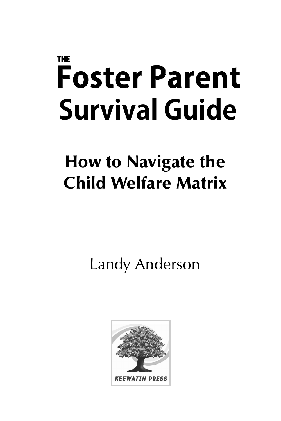# **THE Foster Parent Survival Guide**

# **How to Navigate the Child Welfare Matrix**

Landy Anderson

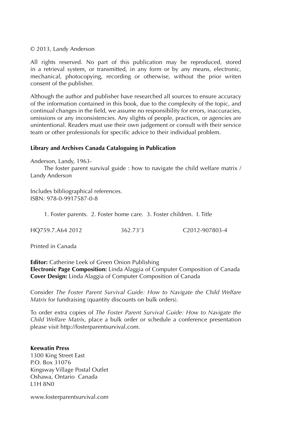#### © 2013, Landy Anderson

All rights reserved. No part of this publication may be reproduced, stored in a retrieval system, or transmitted, in any form or by any means, electronic, mechanical, photocopying, recording or otherwise, without the prior writen consent of the publisher.

Although the author and publisher have researched all sources to ensure accuracy of the information contained in this book, due to the complexity of the topic, and continual changes in the field, we assume no responsibility for errors, inaccuracies, omissions or any inconsistencies. Any slights of people, practices, or agencies are unintentional. Readers must use their own judgement or consult with their service team or other professionals for specific advice to their individual problem.

#### **Library and Archives Canada Cataloguing in Publication**

Anderson, Landy, 1963-

 The foster parent survival guide : how to navigate the child welfare matrix / Landy Anderson

Includes bibliographical references. ISBN: 978-0-9917587-0-8

1. Foster parents. 2. Foster home care. 3. Foster children. I. Title

|  | HQ759.7.A64 2012 | 362.73'3 | C <sub>2012</sub> -907803-4 |
|--|------------------|----------|-----------------------------|
|--|------------------|----------|-----------------------------|

Printed in Canada

**Editor:** Catherine Leek of Green Onion Publishing **Electronic Page Composition:** Linda Alaggia of Computer Composition of Canada **Cover Design:** Linda Alaggia of Computer Composition of Canada

Consider *The Foster Parent Survival Guide: How to Navigate the Child Welfare Matrix* for fundraising (quantity discounts on bulk orders).

To order extra copies of *The Foster Parent Survival Guide: How to Navigate the Child Welfare Matrix*, place a bulk order or schedule a conference presentation please visit http://fosterparentsurvival.com.

#### **Keewatin Press**

1300 King Street East P.O. Box 31076 Kingsway Village Postal Outlet Oshawa, Ontario Canada L1H 8N0

www.fosterparentsurvival.com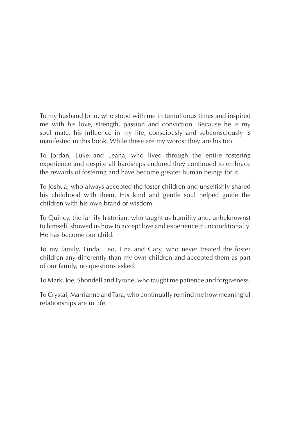To my husband John, who stood with me in tumultuous times and inspired me with his love, strength, passion and conviction. Because he is my soul mate, his influence in my life, consciously and subconsciously is manifested in this book. While these are my words; they are his too.

To Jordan, Luke and Leana, who lived through the entire fostering experience and despite all hardships endured they continued to embrace the rewards of fostering and have become greater human beings for it.

To Joshua, who always accepted the foster children and unselfishly shared his childhood with them. His kind and gentle soul helped guide the children with his own brand of wisdom.

To Quincy, the family historian, who taught us humility and, unbeknownst to himself, showed us how to accept love and experience it unconditionally. He has become our child.

To my family, Linda, Leo, Tina and Gary, who never treated the foster children any differently than my own children and accepted them as part of our family, no questions asked.

To Mark, Joe, Shondell and Tyrone, who taught me patience and forgiveness.

To Crystal, Marrianne and Tara, who continually remind me how meaningful relationships are in life.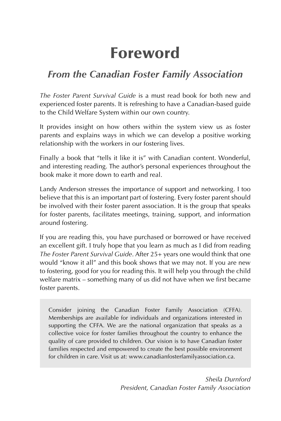# **Foreword**

## *From the Canadian Foster Family Association*

*The Foster Parent Survival Guide* is a must read book for both new and experienced foster parents. It is refreshing to have a Canadian-based guide to the Child Welfare System within our own country.

It provides insight on how others within the system view us as foster parents and explains ways in which we can develop a positive working relationship with the workers in our fostering lives.

Finally a book that "tells it like it is" with Canadian content. Wonderful, and interesting reading. The author's personal experiences throughout the book make it more down to earth and real.

Landy Anderson stresses the importance of support and networking. I too believe that this is an important part of fostering. Every foster parent should be involved with their foster parent association. It is the group that speaks for foster parents, facilitates meetings, training, support, and information around fostering.

If you are reading this, you have purchased or borrowed or have received an excellent gift. I truly hope that you learn as much as I did from reading *The Foster Parent Survival Guide*. After 25+ years one would think that one would "know it all" and this book shows that we may not. If you are new to fostering, good for you for reading this. It will help you through the child welfare matrix – something many of us did not have when we first became foster parents.

Consider joining the Canadian Foster Family Association (CFFA). Memberships are available for individuals and organizations interested in supporting the CFFA. We are the national organization that speaks as a collective voice for foster families throughout the country to enhance the quality of care provided to children. Our vision is to have Canadian foster families respected and empowered to create the best possible environment for children in care. Visit us at: www.canadianfosterfamilyassociation.ca.

> *Sheila Durnford President, Canadian Foster Family Association*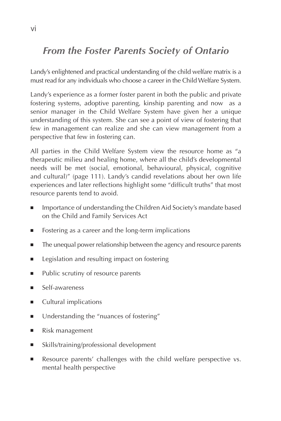## *From the Foster Parents Society of Ontario*

Landy's enlightened and practical understanding of the child welfare matrix is a must read for any individuals who choose a career in the Child Welfare System.

Landy's experience as a former foster parent in both the public and private fostering systems, adoptive parenting, kinship parenting and now as a senior manager in the Child Welfare System have given her a unique understanding of this system. She can see a point of view of fostering that few in management can realize and she can view management from a perspective that few in fostering can.

All parties in the Child Welfare System view the resource home as "a therapeutic milieu and healing home, where all the child's developmental needs will be met (social, emotional, behavioural, physical, cognitive and cultural)" (page 111). Landy's candid revelations about her own life experiences and later reflections highlight some "difficult truths" that most resource parents tend to avoid.

- Importance of understanding the Children Aid Society's mandate based on the Child and Family Services Act
- Fostering as a career and the long-term implications
- The unequal power relationship between the agency and resource parents
- Legislation and resulting impact on fostering
- Public scrutiny of resource parents
- Self-awareness
- Cultural implications
- Understanding the "nuances of fostering"
- Risk management
- Skills/training/professional development
- Resource parents' challenges with the child welfare perspective vs. mental health perspective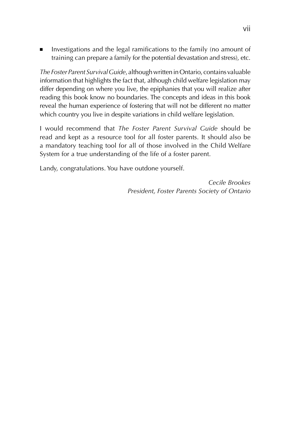Investigations and the legal ramifications to the family (no amount of training can prepare a family for the potential devastation and stress), etc.

*The Foster Parent Survival Guide*, although written in Ontario, contains valuable information that highlights the fact that, although child welfare legislation may differ depending on where you live, the epiphanies that you will realize after reading this book know no boundaries. The concepts and ideas in this book reveal the human experience of fostering that will not be different no matter which country you live in despite variations in child welfare legislation.

I would recommend that *The Foster Parent Survival Guide* should be read and kept as a resource tool for all foster parents. It should also be a mandatory teaching tool for all of those involved in the Child Welfare System for a true understanding of the life of a foster parent.

Landy, congratulations. You have outdone yourself.

*Cecile Brookes President, Foster Parents Society of Ontario*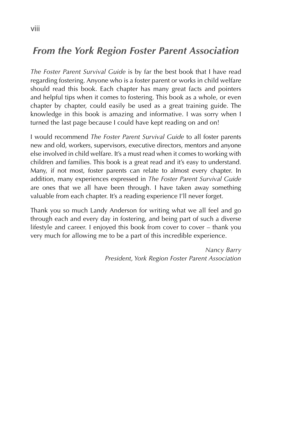## *From the York Region Foster Parent Association*

*The Foster Parent Survival Guide* is by far the best book that I have read regarding fostering. Anyone who is a foster parent or works in child welfare should read this book. Each chapter has many great facts and pointers and helpful tips when it comes to fostering. This book as a whole, or even chapter by chapter, could easily be used as a great training guide. The knowledge in this book is amazing and informative. I was sorry when I turned the last page because I could have kept reading on and on!

I would recommend *The Foster Parent Survival Guide* to all foster parents new and old, workers, supervisors, executive directors, mentors and anyone else involved in child welfare. It's a must read when it comes to working with children and families. This book is a great read and it's easy to understand. Many, if not most, foster parents can relate to almost every chapter. In addition, many experiences expressed in *The Foster Parent Survival Guide*  are ones that we all have been through. I have taken away something valuable from each chapter. It's a reading experience I'll never forget.

Thank you so much Landy Anderson for writing what we all feel and go through each and every day in fostering, and being part of such a diverse lifestyle and career. I enjoyed this book from cover to cover – thank you very much for allowing me to be a part of this incredible experience.

> *Nancy Barry President, York Region Foster Parent Association*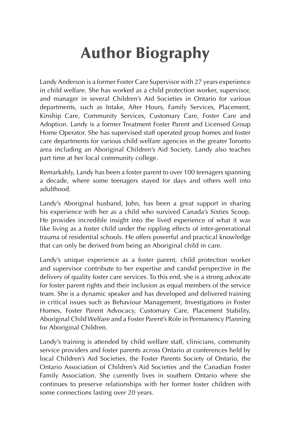# **Author Biography**

Landy Anderson is a former Foster Care Supervisor with 27 years experience in child welfare. She has worked as a child protection worker, supervisor, and manager in several Children's Aid Societies in Ontario for various departments, such as Intake, After Hours, Family Services, Placement, Kinship Care, Community Services, Customary Care, Foster Care and Adoption. Landy is a former Treatment Foster Parent and Licensed Group Home Operator. She has supervised staff operated group homes and foster care departments for various child welfare agencies in the greater Toronto area including an Aboriginal Children's Aid Society. Landy also teaches part time at her local community college.

Remarkably, Landy has been a foster parent to over 100 teenagers spanning a decade, where some teenagers stayed for days and others well into adulthood.

Landy's Aboriginal husband, John, has been a great support in sharing his experience with her as a child who survived Canada's Sixties Scoop. He provides incredible insight into the lived experience of what it was like living as a foster child under the rippling effects of inter-generational trauma of residential schools. He offers powerful and practical knowledge that can only be derived from being an Aboriginal child in care.

Landy's unique experience as a foster parent, child protection worker and supervisor contribute to her expertise and candid perspective in the delivery of quality foster care services. To this end, she is a strong advocate for foster parent rights and their inclusion as equal members of the service team. She is a dynamic speaker and has developed and delivered training in critical issues such as Behaviour Management, Investigations in Foster Homes, Foster Parent Advocacy, Customary Care, Placement Stability, Aboriginal Child Welfare and a Foster Parent's Role in Permanency Planning for Aboriginal Children.

Landy's training is attended by child welfare staff, clinicians, community service providers and foster parents across Ontario at conferences held by local Children's Aid Societies, the Foster Parents Society of Ontario, the Ontario Association of Children's Aid Societies and the Canadian Foster Family Association. She currently lives in southern Ontario where she continues to preserve relationships with her former foster children with some connections lasting over 20 years.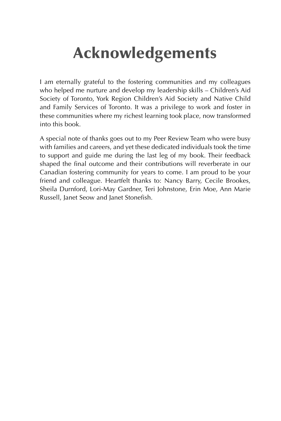# **Acknowledgements**

I am eternally grateful to the fostering communities and my colleagues who helped me nurture and develop my leadership skills – Children's Aid Society of Toronto, York Region Children's Aid Society and Native Child and Family Services of Toronto. It was a privilege to work and foster in these communities where my richest learning took place, now transformed into this book.

A special note of thanks goes out to my Peer Review Team who were busy with families and careers, and yet these dedicated individuals took the time to support and guide me during the last leg of my book. Their feedback shaped the final outcome and their contributions will reverberate in our Canadian fostering community for years to come. I am proud to be your friend and colleague. Heartfelt thanks to: Nancy Barry, Cecile Brookes, Sheila Durnford, Lori-May Gardner, Teri Johnstone, Erin Moe, Ann Marie Russell, Janet Seow and Janet Stonefish.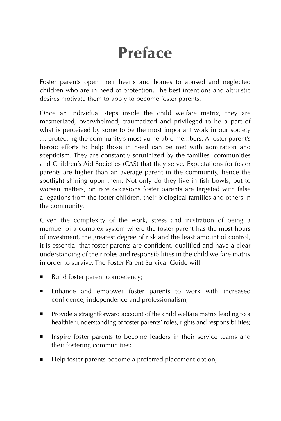# **Preface**

Foster parents open their hearts and homes to abused and neglected children who are in need of protection. The best intentions and altruistic desires motivate them to apply to become foster parents.

Once an individual steps inside the child welfare matrix, they are mesmerized, overwhelmed, traumatized and privileged to be a part of what is perceived by some to be the most important work in our society … protecting the community's most vulnerable members. A foster parent's heroic efforts to help those in need can be met with admiration and scepticism. They are constantly scrutinized by the families, communities and Children's Aid Societies (CAS) that they serve. Expectations for foster parents are higher than an average parent in the community, hence the spotlight shining upon them. Not only do they live in fish bowls, but to worsen matters, on rare occasions foster parents are targeted with false allegations from the foster children, their biological families and others in the community.

Given the complexity of the work, stress and frustration of being a member of a complex system where the foster parent has the most hours of investment, the greatest degree of risk and the least amount of control, it is essential that foster parents are confident, qualified and have a clear understanding of their roles and responsibilities in the child welfare matrix in order to survive. The Foster Parent Survival Guide will:

- Build foster parent competency;
- Enhance and empower foster parents to work with increased confidence, independence and professionalism;
- Provide a straightforward account of the child welfare matrix leading to a healthier understanding of foster parents' roles, rights and responsibilities;
- Inspire foster parents to become leaders in their service teams and their fostering communities;
- Help foster parents become a preferred placement option;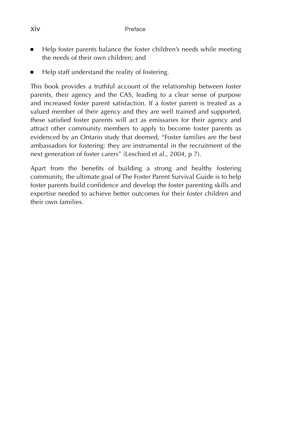- Help foster parents balance the foster children's needs while meeting the needs of their own children; and
- Help staff understand the reality of fostering.

This book provides a truthful account of the relationship between foster parents, their agency and the CAS, leading to a clear sense of purpose and increased foster parent satisfaction. If a foster parent is treated as a valued member of their agency and they are well trained and supported, these satisfied foster parents will act as emissaries for their agency and attract other community members to apply to become foster parents as evidenced by an Ontario study that deemed, "Foster families are the best ambassadors for fostering: they are instrumental in the recruitment of the next generation of foster carers" (Leschied et al., 2004, p 7).

Apart from the benefits of building a strong and healthy fostering community, the ultimate goal of The Foster Parent Survival Guide is to help foster parents build confidence and develop the foster parenting skills and expertise needed to achieve better outcomes for their foster children and their own families.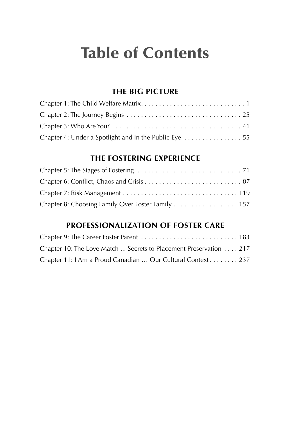# **Table of Contents**

#### **THE BIG PICTURE**

| Chapter 4: Under a Spotlight and in the Public Eye |  |
|----------------------------------------------------|--|

#### **THE FOSTERING EXPERIENCE**

| Chapter 8: Choosing Family Over Foster Family 157 |  |
|---------------------------------------------------|--|

#### **PROFESSIONALIZATION OF FOSTER CARE**

| Chapter 9: The Career Foster Parent  183                          |  |
|-------------------------------------------------------------------|--|
| Chapter 10: The Love Match  Secrets to Placement Preservation 217 |  |
| Chapter 11: I Am a Proud Canadian  Our Cultural Context 237       |  |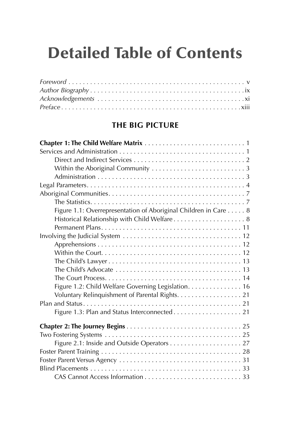# **Detailed Table of Contents**

#### **THE BIG PICTURE**

| Figure 1.1: Overrepresentation of Aboriginal Children in Care 8 |
|-----------------------------------------------------------------|
| Historical Relationship with Child Welfare 8                    |
|                                                                 |
|                                                                 |
|                                                                 |
|                                                                 |
|                                                                 |
|                                                                 |
|                                                                 |
| Figure 1.2: Child Welfare Governing Legislation. 16             |
| Voluntary Relinquishment of Parental Rights. 21                 |
|                                                                 |
| Figure 1.3: Plan and Status Interconnected 21                   |
|                                                                 |
|                                                                 |
|                                                                 |
|                                                                 |
|                                                                 |
|                                                                 |
|                                                                 |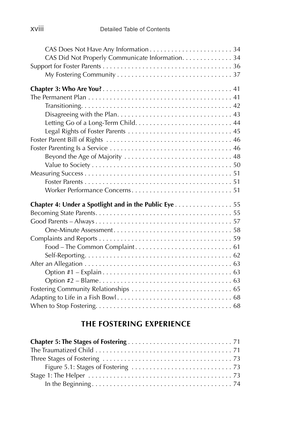| CAS Did Not Properly Communicate Information. 34      |
|-------------------------------------------------------|
|                                                       |
|                                                       |
|                                                       |
|                                                       |
|                                                       |
|                                                       |
|                                                       |
|                                                       |
|                                                       |
|                                                       |
| Beyond the Age of Majority  48                        |
|                                                       |
|                                                       |
|                                                       |
|                                                       |
| Chapter 4: Under a Spotlight and in the Public Eye 55 |
|                                                       |
|                                                       |
|                                                       |
|                                                       |
|                                                       |
|                                                       |
|                                                       |
|                                                       |
|                                                       |
|                                                       |
|                                                       |
|                                                       |
|                                                       |

#### **THE FOSTERING EXPERIENCE**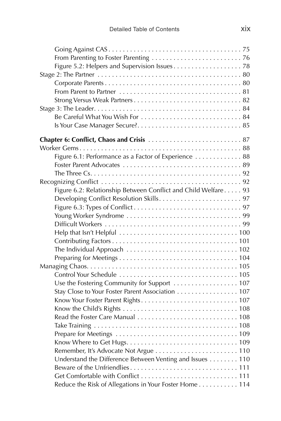| Be Careful What You Wish For  84                               |  |
|----------------------------------------------------------------|--|
|                                                                |  |
|                                                                |  |
|                                                                |  |
| Figure 6.1: Performance as a Factor of Experience  88          |  |
|                                                                |  |
|                                                                |  |
|                                                                |  |
| Figure 6.2: Relationship Between Conflict and Child Welfare 93 |  |
|                                                                |  |
|                                                                |  |
|                                                                |  |
|                                                                |  |
|                                                                |  |
|                                                                |  |
|                                                                |  |
|                                                                |  |
|                                                                |  |
|                                                                |  |
| Use the Fostering Community for Support  107                   |  |
| Stay Close to Your Foster Parent Association 107               |  |
|                                                                |  |
|                                                                |  |
|                                                                |  |
|                                                                |  |
|                                                                |  |
|                                                                |  |
|                                                                |  |
| Understand the Difference Between Venting and Issues 110       |  |
|                                                                |  |
|                                                                |  |
| Reduce the Risk of Allegations in Your Foster Home 114         |  |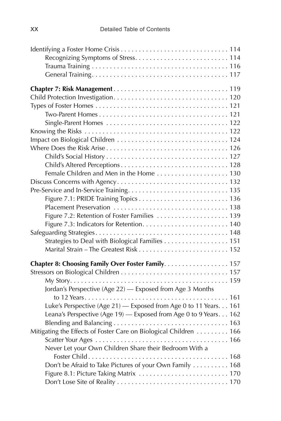| Figure 7.2: Retention of Foster Families  139                     |
|-------------------------------------------------------------------|
|                                                                   |
|                                                                   |
| Strategies to Deal with Biological Families 151                   |
|                                                                   |
| Chapter 8: Choosing Family Over Foster Family. 157                |
|                                                                   |
|                                                                   |
| Jordan's Perspective (Age 22) - Exposed from Age 3 Months         |
|                                                                   |
| Luke's Perspective (Age 21) - Exposed from Age 0 to 11 Years. 161 |
| Leana's Perspective (Age 19) - Exposed from Age 0 to 9 Years. 162 |
|                                                                   |
| Mitigating the Effects of Foster Care on Biological Children 166  |
|                                                                   |
| Never Let your Own Children Share their Bedroom With a            |
|                                                                   |
| Don't be Afraid to Take Pictures of your Own Family 168           |
|                                                                   |
|                                                                   |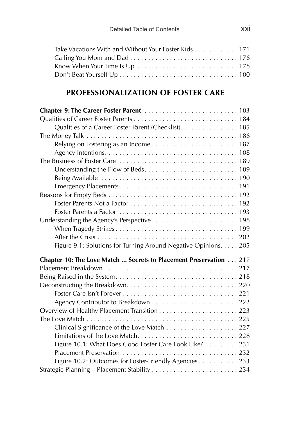| Take Vacations With and Without Your Foster Kids 171 |  |
|------------------------------------------------------|--|
|                                                      |  |
|                                                      |  |
|                                                      |  |

#### **PROFESSIONALIZATION OF FOSTER CARE**

| Qualities of a Career Foster Parent (Checklist). 185              |
|-------------------------------------------------------------------|
|                                                                   |
|                                                                   |
|                                                                   |
|                                                                   |
|                                                                   |
|                                                                   |
|                                                                   |
|                                                                   |
|                                                                   |
|                                                                   |
| Understanding the Agency's Perspective 198                        |
|                                                                   |
|                                                                   |
| Figure 9.1: Solutions for Turning Around Negative Opinions. 205   |
| Chapter 10: The Love Match  Secrets to Placement Preservation 217 |
|                                                                   |
|                                                                   |
|                                                                   |
|                                                                   |
|                                                                   |
|                                                                   |
|                                                                   |
| Clinical Significance of the Love Match 227                       |
|                                                                   |
| Figure 10.1: What Does Good Foster Care Look Like?  231           |
|                                                                   |
| Figure 10.2: Outcomes for Foster-Friendly Agencies 233            |
|                                                                   |
|                                                                   |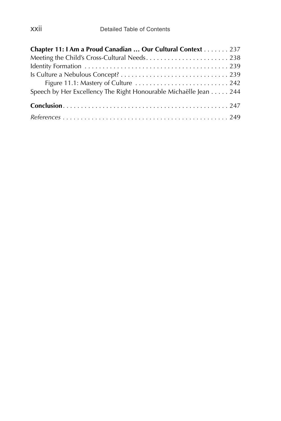| Chapter 11: I Am a Proud Canadian  Our Cultural Context 237      |
|------------------------------------------------------------------|
| Meeting the Child's Cross-Cultural Needs238                      |
|                                                                  |
|                                                                  |
| Figure 11.1: Mastery of Culture  242                             |
| Speech by Her Excellency The Right Honourable Michaëlle Jean 244 |
|                                                                  |
|                                                                  |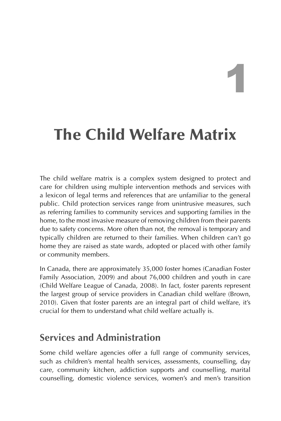# 1

# **The Child Welfare Matrix**

The child welfare matrix is a complex system designed to protect and care for children using multiple intervention methods and services with a lexicon of legal terms and references that are unfamiliar to the general public. Child protection services range from unintrusive measures, such as referring families to community services and supporting families in the home, to the most invasive measure of removing children from their parents due to safety concerns. More often than not, the removal is temporary and typically children are returned to their families. When children can't go home they are raised as state wards, adopted or placed with other family or community members.

In Canada, there are approximately 35,000 foster homes (Canadian Foster Family Association, 2009) and about 76,000 children and youth in care (Child Welfare League of Canada, 2008). In fact, foster parents represent the largest group of service providers in Canadian child welfare (Brown, 2010). Given that foster parents are an integral part of child welfare, it's crucial for them to understand what child welfare actually is.

## **Services and Administration**

Some child welfare agencies offer a full range of community services, such as children's mental health services, assessments, counselling, day care, community kitchen, addiction supports and counselling, marital counselling, domestic violence services, women's and men's transition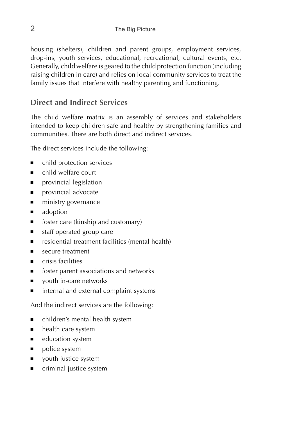housing (shelters), children and parent groups, employment services, drop-ins, youth services, educational, recreational, cultural events, etc. Generally, child welfare is geared to the child protection function (including raising children in care) and relies on local community services to treat the family issues that interfere with healthy parenting and functioning.

#### **Direct and Indirect Services**

The child welfare matrix is an assembly of services and stakeholders intended to keep children safe and healthy by strengthening families and communities. There are both direct and indirect services.

The direct services include the following:

- child protection services
- child welfare court
- provincial legislation
- provincial advocate
- ministry governance
- adoption
- foster care (kinship and customary)
- staff operated group care
- residential treatment facilities (mental health)
- secure treatment
- crisis facilities
- foster parent associations and networks
- youth in-care networks
- internal and external complaint systems

And the indirect services are the following:

- children's mental health system
- health care system
- education system
- police system
- youth justice system
- criminal justice system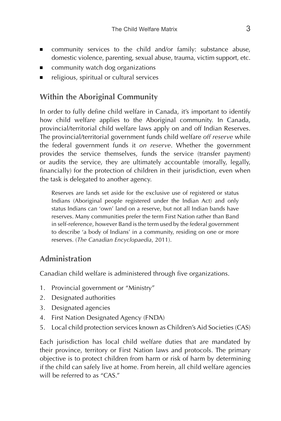- community services to the child and/or family: substance abuse, domestic violence, parenting, sexual abuse, trauma, victim support, etc.
- community watch dog organizations
- religious, spiritual or cultural services

#### **Within the Aboriginal Community**

In order to fully define child welfare in Canada, it's important to identify how child welfare applies to the Aboriginal community. In Canada, provincial/territorial child welfare laws apply on and off Indian Reserves. The provincial/territorial government funds child welfare *off reserve* while the federal government funds it *on reserve*. Whether the government provides the service themselves, funds the service (transfer payment) or audits the service, they are ultimately accountable (morally, legally, financially) for the protection of children in their jurisdiction, even when the task is delegated to another agency.

Reserves are lands set aside for the exclusive use of registered or status Indians (Aboriginal people registered under the Indian Act) and only status Indians can 'own' land on a reserve, but not all Indian bands have reserves. Many communities prefer the term First Nation rather than Band in self-reference, however Band is the term used by the federal government to describe 'a body of Indians' in a community, residing on one or more reserves. (*The Canadian Encyclopaedia*, 2011).

#### **Administration**

Canadian child welfare is administered through five organizations.

- 1. Provincial government or "Ministry"
- 2. Designated authorities
- 3. Designated agencies
- 4. First Nation Designated Agency (FNDA)
- 5. Local child protection services known as Children's Aid Societies (CAS)

Each jurisdiction has local child welfare duties that are mandated by their province, territory or First Nation laws and protocols. The primary objective is to protect children from harm or risk of harm by determining if the child can safely live at home. From herein, all child welfare agencies will be referred to as "CAS."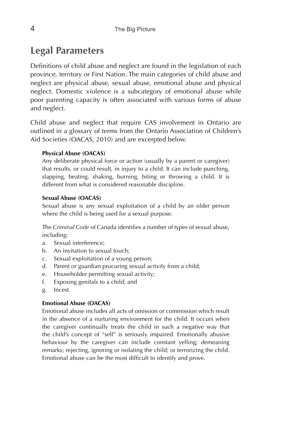## **Legal Parameters**

Definitions of child abuse and neglect are found in the legislation of each province, territory or First Nation. The main categories of child abuse and neglect are physical abuse, sexual abuse, emotional abuse and physical neglect. Domestic violence is a subcategory of emotional abuse while poor parenting capacity is often associated with various forms of abuse and neglect.

Child abuse and neglect that require CAS involvement in Ontario are outlined in a glossary of terms from the Ontario Association of Children's Aid Societies (OACAS, 2010) and are excerpted below.

#### **Physical Abuse (OACAS)**

Any deliberate physical force or action (usually by a parent or caregiver) that results, or could result, in injury to a child. It can include punching, slapping, beating, shaking, burning, biting or throwing a child. It is different from what is considered reasonable discipline.

#### **Sexual Abuse (OACAS)**

Sexual abuse is any sexual exploitation of a child by an older person where the child is being used for a sexual purpose.

The *Criminal Code* of Canada identifies a number of types of sexual abuse, including:

- a. Sexual interference;
- b. An invitation to sexual touch;
- c. Sexual exploitation of a young person;
- d. Parent or guardian procuring sexual activity from a child;
- e. Householder permitting sexual activity;
- f. Exposing genitals to a child; and
- g. Incest.

#### **Emotional Abuse (OACAS)**

Emotional abuse includes all acts of omission or commission which result in the absence of a nurturing environment for the child. It occurs when the caregiver continually treats the child in such a negative way that the child's concept of "self" is seriously impaired. Emotionally abusive behaviour by the caregiver can include constant yelling; demeaning remarks; rejecting, ignoring or isolating the child; or terrorizing the child. Emotional abuse can be the most difficult to identify and prove.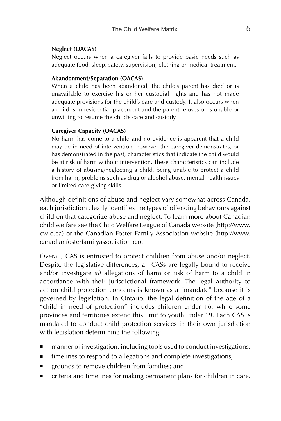#### **Neglect (OACAS)**

Neglect occurs when a caregiver fails to provide basic needs such as adequate food, sleep, safety, supervision, clothing or medical treatment.

#### **Abandonment/Separation (OACAS)**

When a child has been abandoned, the child's parent has died or is unavailable to exercise his or her custodial rights and has not made adequate provisions for the child's care and custody. It also occurs when a child is in residential placement and the parent refuses or is unable or unwilling to resume the child's care and custody.

#### **Caregiver Capacity (OACAS)**

No harm has come to a child and no evidence is apparent that a child may be in need of intervention, however the caregiver demonstrates, or has demonstrated in the past, characteristics that indicate the child would be at risk of harm without intervention. These characteristics can include a history of abusing/neglecting a child, being unable to protect a child from harm, problems such as drug or alcohol abuse, mental health issues or limited care-giving skills.

Although definitions of abuse and neglect vary somewhat across Canada, each jurisdiction clearly identifies the types of offending behaviours against children that categorize abuse and neglect. To learn more about Canadian child welfare see the Child Welfare League of Canada website (http://www. cwlc.ca) or the Canadian Foster Family Association website (http://www. canadianfosterfamilyassociation.ca).

Overall, CAS is entrusted to protect children from abuse and/or neglect. Despite the legislative differences, all CASs are legally bound to receive and/or investigate *all* allegations of harm or risk of harm to a child in accordance with their jurisdictional framework. The legal authority to act on child protection concerns is known as a "mandate" because it is governed by legislation. In Ontario, the legal definition of the age of a "child in need of protection" includes children under 16, while some provinces and territories extend this limit to youth under 19. Each CAS is mandated to conduct child protection services in their own jurisdiction with legislation determining the following:

- manner of investigation, including tools used to conduct investigations;
- timelines to respond to allegations and complete investigations;
- grounds to remove children from families; and
- criteria and timelines for making permanent plans for children in care.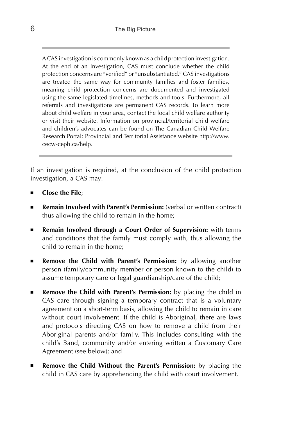A CAS investigation is commonly known as a child protection investigation. At the end of an investigation, CAS must conclude whether the child protection concerns are "verified" or "unsubstantiated." CAS investigations are treated the same way for community families and foster families, meaning child protection concerns are documented and investigated using the same legislated timelines, methods and tools. Furthermore, all referrals and investigations are permanent CAS records. To learn more about child welfare in your area, contact the local child welfare authority or visit their website. Information on provincial/territorial child welfare and children's advocates can be found on The Canadian Child Welfare Research Portal: Provincial and Territorial Assistance website http://www. cecw-cepb.ca/help.

If an investigation is required, at the conclusion of the child protection investigation, a CAS may:

- **Close the File**;
- **Remain Involved with Parent's Permission:** (verbal or written contract) thus allowing the child to remain in the home;
- **Remain Involved through a Court Order of Supervision:** with terms and conditions that the family must comply with, thus allowing the child to remain in the home;
- **Remove the Child with Parent's Permission:** by allowing another person (family/community member or person known to the child) to assume temporary care or legal guardianship/care of the child;
- **Remove the Child with Parent's Permission:** by placing the child in CAS care through signing a temporary contract that is a voluntary agreement on a short-term basis, allowing the child to remain in care without court involvement. If the child is Aboriginal, there are laws and protocols directing CAS on how to remove a child from their Aboriginal parents and/or family. This includes consulting with the child's Band, community and/or entering written a Customary Care Agreement (see below); and
- **Remove the Child Without the Parent's Permission:** by placing the child in CAS care by apprehending the child with court involvement.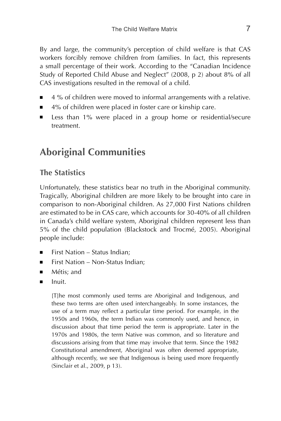By and large, the community's perception of child welfare is that CAS workers forcibly remove children from families. In fact, this represents a small percentage of their work. According to the "Canadian Incidence Study of Reported Child Abuse and Neglect" (2008, p 2) about 8% of all CAS investigations resulted in the removal of a child.

- 4 % of children were moved to informal arrangements with a relative.
- 4% of children were placed in foster care or kinship care.
- Less than 1% were placed in a group home or residential/secure treatment.

## **Aboriginal Communities**

#### **The Statistics**

Unfortunately, these statistics bear no truth in the Aboriginal community. Tragically, Aboriginal children are more likely to be brought into care in comparison to non-Aboriginal children. As 27,000 First Nations children are estimated to be in CAS care, which accounts for 30-40% of all children in Canada's child welfare system, Aboriginal children represent less than 5% of the child population (Blackstock and Trocmé, 2005). Aboriginal people include:

- First Nation Status Indian:
- First Nation Non-Status Indian;
- Métis; and
- Inuit.

[T]he most commonly used terms are Aboriginal and Indigenous, and these two terms are often used interchangeably. In some instances, the use of a term may reflect a particular time period. For example, in the 1950s and 1960s, the term Indian was commonly used, and hence, in discussion about that time period the term is appropriate. Later in the 1970s and 1980s, the term Native was common, and so literature and discussions arising from that time may involve that term. Since the 1982 Constitutional amendment, Aboriginal was often deemed appropriate, although recently, we see that Indigenous is being used more frequently (Sinclair et al., 2009, p 13).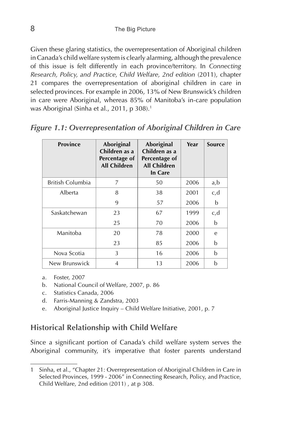Given these glaring statistics, the overrepresentation of Aboriginal children in Canada's child welfare system is clearly alarming, although the prevalence of this issue is felt differently in each province/territory. In *Connecting Research, Policy, and Practice, Child Welfare, 2nd edition* (2011), chapter 21 compares the overrepresentation of aboriginal children in care in selected provinces. For example in 2006, 13% of New Brunswick's children in care were Aboriginal, whereas 85% of Manitoba's in-care population was Aboriginal (Sinha et al., 2011, p 308).<sup>1</sup>

|  | <b>Figure 1.1: Overrepresentation of Aboriginal Children in Care</b> |  |  |  |
|--|----------------------------------------------------------------------|--|--|--|
|  |                                                                      |  |  |  |

| <b>Province</b>  | Aboriginal<br>Children as a<br>Percentage of<br><b>All Children</b> | Aboriginal<br>Children as a<br>Percentage of<br><b>All Children</b><br>In Care | Year | <b>Source</b> |
|------------------|---------------------------------------------------------------------|--------------------------------------------------------------------------------|------|---------------|
| British Columbia | 7                                                                   | 50                                                                             | 2006 | a,b           |
| Alberta          | 8                                                                   | 38                                                                             | 2001 | c,d           |
|                  | 9                                                                   | 57                                                                             | 2006 | b             |
| Saskatchewan     | 23                                                                  | 67                                                                             | 1999 | c,d           |
|                  | 25                                                                  | 70                                                                             | 2006 | b             |
| Manitoba         | 20                                                                  | 78                                                                             | 2000 | e             |
|                  | 23                                                                  | 85                                                                             | 2006 | b             |
| Nova Scotia      | 3                                                                   | 16                                                                             | 2006 | b             |
| New Brunswick    | 4                                                                   | 13                                                                             | 2006 | b             |

- a. Foster, 2007
- b. National Council of Welfare, 2007, p. 86
- c. Statistics Canada, 2006
- d. Farris-Manning & Zandstra, 2003
- e. Aboriginal Justice Inquiry Child Welfare Initiative, 2001, p. 7

#### **Historical Relationship with Child Welfare**

Since a significant portion of Canada's child welfare system serves the Aboriginal community, it's imperative that foster parents understand

<sup>1</sup> Sinha, et al., "Chapter 21: Overrepresentation of Aboriginal Children in Care in Selected Provinces, 1999 - 2006" in Connecting Research, Policy, and Practice, Child Welfare, 2nd edition (2011) , at p 308.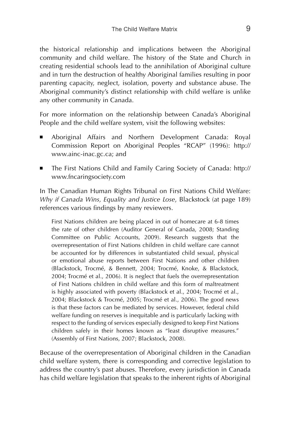the historical relationship and implications between the Aboriginal community and child welfare. The history of the State and Church in creating residential schools lead to the annihilation of Aboriginal culture and in turn the destruction of healthy Aboriginal families resulting in poor parenting capacity, neglect, isolation, poverty and substance abuse. The Aboriginal community's distinct relationship with child welfare is unlike any other community in Canada.

For more information on the relationship between Canada's Aboriginal People and the child welfare system, visit the following websites:

- Aboriginal Affairs and Northern Development Canada: Royal Commission Report on Aboriginal Peoples "RCAP" (1996): http:// www.ainc-inac.gc.ca; and
- The First Nations Child and Family Caring Society of Canada: http:// www.fncaringsociety.com

In The Canadian Human Rights Tribunal on First Nations Child Welfare: *Why if Canada Wins, Equality and Justice Lose*, Blackstock (at page 189) references various findings by many reviewers.

First Nations children are being placed in out of homecare at 6-8 times the rate of other children (Auditor General of Canada, 2008; Standing Committee on Public Accounts, 2009). Research suggests that the overrepresentation of First Nations children in child welfare care cannot be accounted for by differences in substantiated child sexual, physical or emotional abuse reports between First Nations and other children (Blackstock, Trocmé, & Bennett, 2004; Trocmé, Knoke, & Blackstock, 2004; Trocmé et al., 2006). It is neglect that fuels the overrepresentation of First Nations children in child welfare and this form of maltreatment is highly associated with poverty (Blackstock et al., 2004; Trocmé et al., 2004; Blackstock & Trocmé, 2005; Trocmé et al., 2006). The good news is that these factors can be mediated by services. However, federal child welfare funding on reserves is inequitable and is particularly lacking with respect to the funding of services especially designed to keep First Nations children safely in their homes known as "least disruptive measures." (Assembly of First Nations, 2007; Blackstock, 2008).

Because of the overrepresentation of Aboriginal children in the Canadian child welfare system, there is corresponding and corrective legislation to address the country's past abuses. Therefore, every jurisdiction in Canada has child welfare legislation that speaks to the inherent rights of Aboriginal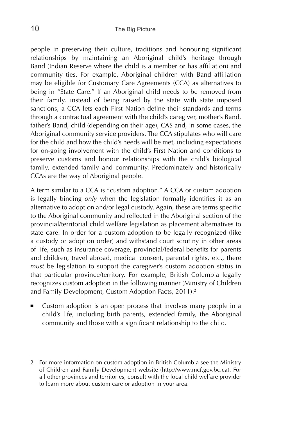people in preserving their culture, traditions and honouring significant relationships by maintaining an Aboriginal child's heritage through Band (Indian Reserve where the child is a member or has affiliation) and community ties. For example, Aboriginal children with Band affiliation may be eligible for Customary Care Agreements (CCA) as alternatives to being in "State Care." If an Aboriginal child needs to be removed from their family, instead of being raised by the state with state imposed sanctions, a CCA lets each First Nation define their standards and terms through a contractual agreement with the child's caregiver, mother's Band, father's Band, child (depending on their age), CAS and, in some cases, the Aboriginal community service providers. The CCA stipulates who will care for the child and how the child's needs will be met, including expectations for on-going involvement with the child's First Nation and conditions to preserve customs and honour relationships with the child's biological family, extended family and community. Predominately and historically CCAs are the way of Aboriginal people.

A term similar to a CCA is "custom adoption." A CCA or custom adoption is legally binding *only* when the legislation formally identifies it as an alternative to adoption and/or legal custody. Again, these are terms specific to the Aboriginal community and reflected in the Aboriginal section of the provincial/territorial child welfare legislation as placement alternatives to state care. In order for a custom adoption to be legally recognized (like a custody or adoption order) and withstand court scrutiny in other areas of life, such as insurance coverage, provincial/federal benefits for parents and children, travel abroad, medical consent, parental rights, etc., there *must* be legislation to support the caregiver's custom adoption status in that particular province/territory. For example, British Columbia legally recognizes custom adoption in the following manner (Ministry of Children and Family Development, Custom Adoption Facts, 2011):<sup>2</sup>

■ Custom adoption is an open process that involves many people in a child's life, including birth parents, extended family, the Aboriginal community and those with a significant relationship to the child.

<sup>2</sup> For more information on custom adoption in British Columbia see the Ministry of Children and Family Development website (http://www.mcf.gov.bc.ca). For all other provinces and territories, consult with the local child welfare provider to learn more about custom care or adoption in your area.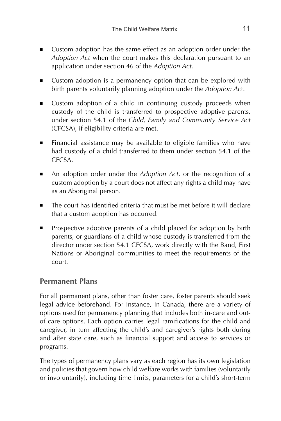- Custom adoption has the same effect as an adoption order under the *Adoption Act* when the court makes this declaration pursuant to an application under section 46 of the *Adoption Act*.
- Custom adoption is a permanency option that can be explored with birth parents voluntarily planning adoption under the *Adoption Ac*t.
- Custom adoption of a child in continuing custody proceeds when custody of the child is transferred to prospective adoptive parents, under section 54.1 of the *Child, Family and Community Service Act*  (CFCSA), if eligibility criteria are met.
- Financial assistance may be available to eligible families who have had custody of a child transferred to them under section 54.1 of the **CFCSA**
- An adoption order under the *Adoption Act*, or the recognition of a custom adoption by a court does not affect any rights a child may have as an Aboriginal person.
- The court has identified criteria that must be met before it will declare that a custom adoption has occurred.
- Prospective adoptive parents of a child placed for adoption by birth parents, or guardians of a child whose custody is transferred from the director under section 54.1 CFCSA, work directly with the Band, First Nations or Aboriginal communities to meet the requirements of the court.

#### **Permanent Plans**

For all permanent plans, other than foster care, foster parents should seek legal advice beforehand. For instance, in Canada, there are a variety of options used for permanency planning that includes both in-care and outof care options. Each option carries legal ramifications for the child and caregiver, in turn affecting the child's and caregiver's rights both during and after state care, such as financial support and access to services or programs.

The types of permanency plans vary as each region has its own legislation and policies that govern how child welfare works with families (voluntarily or involuntarily), including time limits, parameters for a child's short-term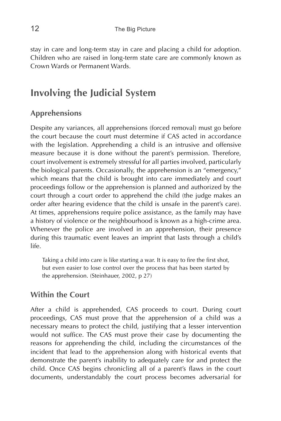stay in care and long-term stay in care and placing a child for adoption. Children who are raised in long-term state care are commonly known as Crown Wards or Permanent Wards.

## **Involving the Judicial System**

#### **Apprehensions**

Despite any variances, all apprehensions (forced removal) must go before the court because the court must determine if CAS acted in accordance with the legislation. Apprehending a child is an intrusive and offensive measure because it is done without the parent's permission. Therefore, court involvement is extremely stressful for all parties involved, particularly the biological parents. Occasionally, the apprehension is an "emergency," which means that the child is brought into care immediately and court proceedings follow or the apprehension is planned and authorized by the court through a court order to apprehend the child (the judge makes an order after hearing evidence that the child is unsafe in the parent's care). At times, apprehensions require police assistance, as the family may have a history of violence or the neighbourhood is known as a high-crime area. Whenever the police are involved in an apprehension, their presence during this traumatic event leaves an imprint that lasts through a child's life.

Taking a child into care is like starting a war. It is easy to fire the first shot, but even easier to lose control over the process that has been started by the apprehension. (Steinhauer, 2002, p 27)

#### **Within the Court**

After a child is apprehended, CAS proceeds to court. During court proceedings, CAS must prove that the apprehension of a child was a necessary means to protect the child, justifying that a lesser intervention would not suffice. The CAS must prove their case by documenting the reasons for apprehending the child, including the circumstances of the incident that lead to the apprehension along with historical events that demonstrate the parent's inability to adequately care for and protect the child. Once CAS begins chronicling all of a parent's flaws in the court documents, understandably the court process becomes adversarial for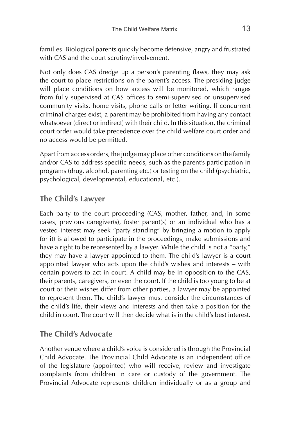families. Biological parents quickly become defensive, angry and frustrated with CAS and the court scrutiny/involvement.

Not only does CAS dredge up a person's parenting flaws, they may ask the court to place restrictions on the parent's access. The presiding judge will place conditions on how access will be monitored, which ranges from fully supervised at CAS offices to semi-supervised or unsupervised community visits, home visits, phone calls or letter writing. If concurrent criminal charges exist, a parent may be prohibited from having any contact whatsoever (direct or indirect) with their child. In this situation, the criminal court order would take precedence over the child welfare court order and no access would be permitted.

Apart from access orders, the judge may place other conditions on the family and/or CAS to address specific needs, such as the parent's participation in programs (drug, alcohol, parenting etc.) or testing on the child (psychiatric, psychological, developmental, educational, etc.).

### **The Child's Lawyer**

Each party to the court proceeding (CAS, mother, father, and, in some cases, previous caregiver(s), foster parent(s) or an individual who has a vested interest may seek "party standing" by bringing a motion to apply for it) is allowed to participate in the proceedings, make submissions and have a right to be represented by a lawyer. While the child is not a "party," they may have a lawyer appointed to them. The child's lawyer is a court appointed lawyer who acts upon the child's wishes and interests – with certain powers to act in court. A child may be in opposition to the CAS, their parents, caregivers, or even the court. If the child is too young to be at court or their wishes differ from other parties, a lawyer may be appointed to represent them. The child's lawyer must consider the circumstances of the child's life, their views and interests and then take a position for the child in court. The court will then decide what is in the child's best interest.

#### **The Child's Advocate**

Another venue where a child's voice is considered is through the Provincial Child Advocate. The Provincial Child Advocate is an independent office of the legislature (appointed) who will receive, review and investigate complaints from children in care or custody of the government. The Provincial Advocate represents children individually or as a group and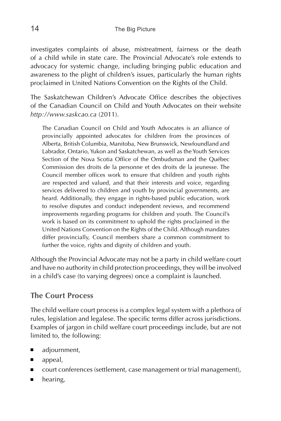investigates complaints of abuse, mistreatment, fairness or the death of a child while in state care. The Provincial Advocate's role extends to advocacy for systemic change, including bringing public education and awareness to the plight of children's issues, particularly the human rights proclaimed in United Nations Convention on the Rights of the Child.

The Saskatchewan Children's Advocate Office describes the objectives of the Canadian Council on Child and Youth Advocates on their website *http://www.saskcao.ca* (2011).

The Canadian Council on Child and Youth Advocates is an alliance of provincially appointed advocates for children from the provinces of Alberta, British Columbia, Manitoba, New Brunswick, Newfoundland and Labrador, Ontario, Yukon and Saskatchewan, as well as the Youth Services Section of the Nova Scotia Office of the Ombudsman and the Québec Commission des droits de la personne et des droits de la jeunesse. The Council member offices work to ensure that children and youth rights are respected and valued, and that their interests and voice, regarding services delivered to children and youth by provincial governments, are heard. Additionally, they engage in rights-based public education, work to resolve disputes and conduct independent reviews, and recommend improvements regarding programs for children and youth. The Council's work is based on its commitment to uphold the rights proclaimed in the United Nations Convention on the Rights of the Child. Although mandates differ provincially, Council members share a common commitment to further the voice, rights and dignity of children and youth.

Although the Provincial Advocate may not be a party in child welfare court and have no authority in child protection proceedings, they will be involved in a child's case (to varying degrees) once a complaint is launched.

#### **The Court Process**

The child welfare court process is a complex legal system with a plethora of rules, legislation and legalese. The specific terms differ across jurisdictions. Examples of jargon in child welfare court proceedings include, but are not limited to, the following:

- adjournment,
- appeal,
- court conferences (settlement, case management or trial management),
- hearing,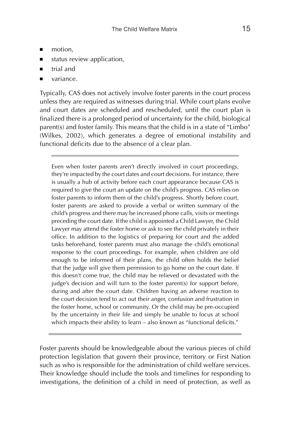- motion,
- status review application,
- trial and
- variance.

Typically, CAS does not actively involve foster parents in the court process unless they are required as witnesses during trial. While court plans evolve and court dates are scheduled and rescheduled, until the court plan is finalized there is a prolonged period of uncertainty for the child, biological parent(s) and foster family. This means that the child is in a state of "Limbo" (Wilkes, 2002), which generates a degree of emotional instability and functional deficits due to the absence of a clear plan.

Even when foster parents aren't directly involved in court proceedings, they're impacted by the court dates and court decisions. For instance, there is usually a hub of activity before each court appearance because CAS is required to give the court an update on the child's progress. CAS relies on foster parents to inform them of the child's progress. Shortly before court, foster parents are asked to provide a verbal or written summary of the child's progress and there may be increased phone calls, visits or meetings preceding the court date. If the child is appointed a Child Lawyer, the Child Lawyer may attend the foster home or ask to see the child privately in their office. In addition to the logistics of preparing for court and the added tasks beforehand, foster parents must also manage the child's emotional response to the court proceedings. For example, when children are old enough to be informed of their plans, the child often holds the belief that the judge will give them permission to go home on the court date. If this doesn't come true, the child may be relieved or devastated with the judge's decision and will turn to the foster parent(s) for support before, during and after the court date. Children having an adverse reaction to the court decision tend to act out their anger, confusion and frustration in the foster home, school or community. Or the child may be pre-occupied by the uncertainty in their life and simply be unable to focus at school which impacts their ability to learn - also known as "functional deficits."

Foster parents should be knowledgeable about the various pieces of child protection legislation that govern their province, territory or First Nation such as who is responsible for the administration of child welfare services. Their knowledge should include the tools and timelines for responding to investigations, the definition of a child in need of protection, as well as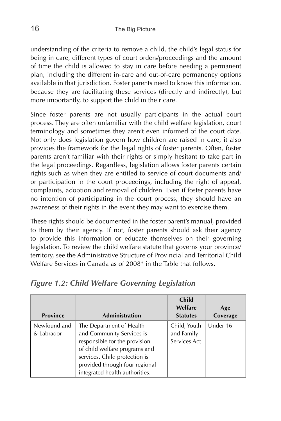understanding of the criteria to remove a child, the child's legal status for being in care, different types of court orders/proceedings and the amount of time the child is allowed to stay in care before needing a permanent plan, including the different in-care and out-of-care permanency options available in that jurisdiction. Foster parents need to know this information, because they are facilitating these services (directly and indirectly), but more importantly, to support the child in their care.

Since foster parents are not usually participants in the actual court process. They are often unfamiliar with the child welfare legislation, court terminology and sometimes they aren't even informed of the court date. Not only does legislation govern how children are raised in care, it also provides the framework for the legal rights of foster parents. Often, foster parents aren't familiar with their rights or simply hesitant to take part in the legal proceedings. Regardless, legislation allows foster parents certain rights such as when they are entitled to service of court documents and/ or participation in the court proceedings, including the right of appeal, complaints, adoption and removal of children. Even if foster parents have no intention of participating in the court process, they should have an awareness of their rights in the event they may want to exercise them.

These rights should be documented in the foster parent's manual, provided to them by their agency. If not, foster parents should ask their agency to provide this information or educate themselves on their governing legislation. To review the child welfare statute that governs your province/ territory, see the Administrative Structure of Provincial and Territorial Child Welfare Services in Canada as of 2008\* in the Table that follows.

| <b>Province</b>            | <b>Administration</b>                                                                                                                                                                                                        | <b>Child</b><br>Welfare<br><b>Statutes</b> | Age<br>Coverage |
|----------------------------|------------------------------------------------------------------------------------------------------------------------------------------------------------------------------------------------------------------------------|--------------------------------------------|-----------------|
| Newfoundland<br>& Labrador | The Department of Health<br>and Community Services is<br>responsible for the provision<br>of child welfare programs and<br>services. Child protection is<br>provided through four regional<br>integrated health authorities. | Child, Youth<br>and Family<br>Services Act | Under 16        |

#### *Figure 1.2: Child Welfare Governing Legislation*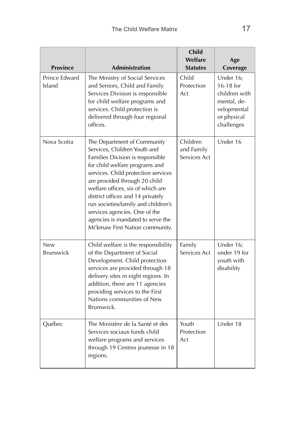| <b>Province</b>                                                                                                                                                                                                                                   | <b>Administration</b>                                                                                                                                                                                                                                                                                                                                                                                                               | <b>Child</b><br>Welfare<br><b>Statutes</b> | Age<br>Coverage                                                                                    |
|---------------------------------------------------------------------------------------------------------------------------------------------------------------------------------------------------------------------------------------------------|-------------------------------------------------------------------------------------------------------------------------------------------------------------------------------------------------------------------------------------------------------------------------------------------------------------------------------------------------------------------------------------------------------------------------------------|--------------------------------------------|----------------------------------------------------------------------------------------------------|
| Prince Edward<br>The Ministry of Social Services<br>Island<br>and Seniors, Child and Family<br>Services Division is responsible<br>for child welfare programs and<br>services. Child protection is<br>delivered through four regional<br>offices. |                                                                                                                                                                                                                                                                                                                                                                                                                                     | Child<br>Protection<br>Act                 | Under 16;<br>16-18 for<br>children with<br>mental, de-<br>velopmental<br>or physical<br>challenges |
| Nova Scotia                                                                                                                                                                                                                                       | The Department of Community<br>Services, Children Youth and<br>Families Division is responsible<br>for child welfare programs and<br>services. Child protection services<br>are provided through 20 child<br>welfare offices, six of which are<br>district offices and 14 privately<br>run societies/family and children's<br>services agencies. One of the<br>agencies is mandated to serve the<br>Mi'kmaw First Nation community. |                                            | Under 16                                                                                           |
| <b>New</b><br>Brunswick                                                                                                                                                                                                                           | Child welfare is the responsibility<br>of the Department of Social<br>Development. Child protection<br>services are provided through 18<br>delivery sites in eight regions. In<br>addition, there are 11 agencies<br>providing services to the First<br>Nations communities of New<br>Brunswick.                                                                                                                                    | Family<br>Services Act                     | Under 16;<br>under 19 for<br>youth with<br>disability                                              |
| Québec                                                                                                                                                                                                                                            | The Ministère de la Santé et des<br>Services sociaux funds child<br>welfare programs and services<br>through 19 Centres jeunesse in 18<br>regions.                                                                                                                                                                                                                                                                                  | Youth<br>Protection<br>Act                 | Under 18                                                                                           |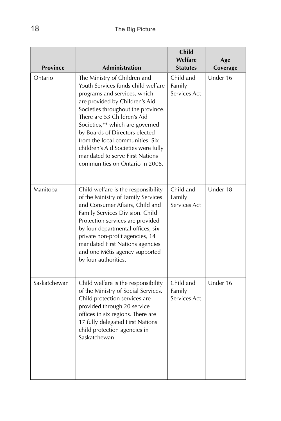|                 |                                                                                                                                                                                                                                                                                                                                                                                                                                | <b>Child</b><br>Welfare             | Age      |
|-----------------|--------------------------------------------------------------------------------------------------------------------------------------------------------------------------------------------------------------------------------------------------------------------------------------------------------------------------------------------------------------------------------------------------------------------------------|-------------------------------------|----------|
| <b>Province</b> | <b>Administration</b>                                                                                                                                                                                                                                                                                                                                                                                                          | <b>Statutes</b>                     | Coverage |
| Ontario         | The Ministry of Children and<br>Youth Services funds child welfare<br>programs and services, which<br>are provided by Children's Aid<br>Societies throughout the province.<br>There are 53 Children's Aid<br>Societies,** which are governed<br>by Boards of Directors elected<br>from the local communities. Six<br>children's Aid Societies were fully<br>mandated to serve First Nations<br>communities on Ontario in 2008. | Child and<br>Family<br>Services Act | Under 16 |
| Manitoba        | Child welfare is the responsibility<br>of the Ministry of Family Services<br>and Consumer Affairs, Child and<br>Family Services Division. Child<br>Protection services are provided<br>by four departmental offices, six<br>private non-profit agencies, 14<br>mandated First Nations agencies<br>and one Métis agency supported<br>by four authorities.                                                                       | Child and<br>Family<br>Services Act | Under 18 |
| Saskatchewan    | Child welfare is the responsibility<br>of the Ministry of Social Services.<br>Child protection services are<br>provided through 20 service<br>offices in six regions. There are<br>17 fully delegated First Nations<br>child protection agencies in<br>Saskatchewan.                                                                                                                                                           | Child and<br>Family<br>Services Act | Under 16 |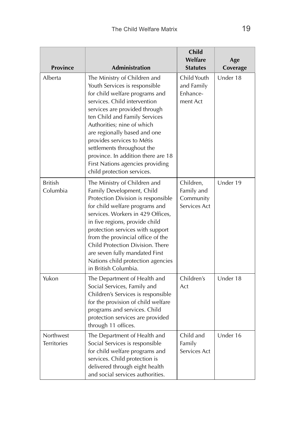|                                 |                                                                                                                                                                                                                                                                                                                                                                                                                                     | <b>Child</b><br>Welfare                              | Age      |
|---------------------------------|-------------------------------------------------------------------------------------------------------------------------------------------------------------------------------------------------------------------------------------------------------------------------------------------------------------------------------------------------------------------------------------------------------------------------------------|------------------------------------------------------|----------|
| <b>Province</b>                 | <b>Administration</b>                                                                                                                                                                                                                                                                                                                                                                                                               | <b>Statutes</b>                                      | Coverage |
| Alberta                         | The Ministry of Children and<br>Youth Services is responsible<br>for child welfare programs and<br>services. Child intervention<br>services are provided through<br>ten Child and Family Services<br>Authorities; nine of which<br>are regionally based and one<br>provides services to Métis<br>settlements throughout the<br>province. In addition there are 18<br>First Nations agencies providing<br>child protection services. | Child Youth<br>and Family<br>Enhance-<br>ment Act    | Under 18 |
| <b>British</b><br>Columbia      | The Ministry of Children and<br>Family Development, Child<br>Protection Division is responsible<br>for child welfare programs and<br>services. Workers in 429 Offices,<br>in five regions, provide child<br>protection services with support<br>from the provincial office of the<br>Child Protection Division. There<br>are seven fully mandated First<br>Nations child protection agencies<br>in British Columbia.                | Children,<br>Family and<br>Community<br>Services Act | Under 19 |
| Yukon                           | The Department of Health and<br>Social Services, Family and<br>Children's Services is responsible<br>for the provision of child welfare<br>programs and services. Child<br>protection services are provided<br>through 11 offices.                                                                                                                                                                                                  | Children's<br>Act                                    | Under 18 |
| Northwest<br><b>Territories</b> | The Department of Health and<br>Social Services is responsible<br>for child welfare programs and<br>services. Child protection is<br>delivered through eight health<br>and social services authorities.                                                                                                                                                                                                                             | Child and<br>Family<br>Services Act                  | Under 16 |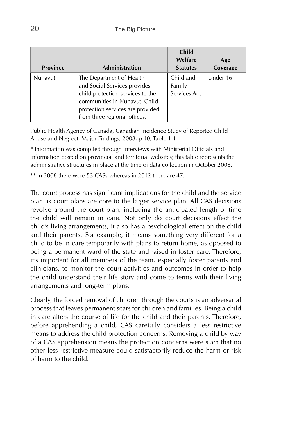| <b>Province</b> | <b>Administration</b>                                                                                                                                                                             | <b>Child</b><br>Welfare<br><b>Statutes</b> | Age<br>Coverage |
|-----------------|---------------------------------------------------------------------------------------------------------------------------------------------------------------------------------------------------|--------------------------------------------|-----------------|
| Nunavut         | The Department of Health<br>and Social Services provides<br>child protection services to the<br>communities in Nunavut. Child<br>protection services are provided<br>from three regional offices. | Child and<br>Family<br>Services Act        | Under 16        |

Public Health Agency of Canada, Canadian Incidence Study of Reported Child Abuse and Neglect, Major Findings, 2008, p 10, Table 1:1

\* Information was compiled through interviews with Ministerial Officials and information posted on provincial and territorial websites; this table represents the administrative structures in place at the time of data collection in October 2008.

\*\* In 2008 there were 53 CASs whereas in 2012 there are 47.

The court process has significant implications for the child and the service plan as court plans are core to the larger service plan. All CAS decisions revolve around the court plan, including the anticipated length of time the child will remain in care. Not only do court decisions effect the child's living arrangements, it also has a psychological effect on the child and their parents. For example, it means something very different for a child to be in care temporarily with plans to return home, as opposed to being a permanent ward of the state and raised in foster care. Therefore, it's important for all members of the team, especially foster parents and clinicians, to monitor the court activities and outcomes in order to help the child understand their life story and come to terms with their living arrangements and long-term plans.

Clearly, the forced removal of children through the courts is an adversarial process that leaves permanent scars for children and families. Being a child in care alters the course of life for the child and their parents. Therefore, before apprehending a child, CAS carefully considers a less restrictive means to address the child protection concerns. Removing a child by way of a CAS apprehension means the protection concerns were such that no other less restrictive measure could satisfactorily reduce the harm or risk of harm to the child.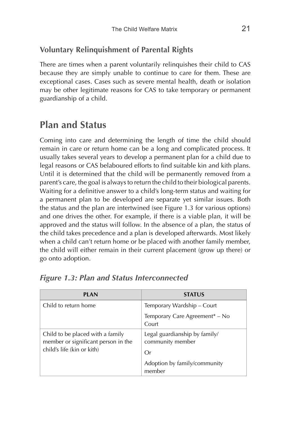## **Voluntary Relinquishment of Parental Rights**

There are times when a parent voluntarily relinquishes their child to CAS because they are simply unable to continue to care for them. These are exceptional cases. Cases such as severe mental health, death or isolation may be other legitimate reasons for CAS to take temporary or permanent guardianship of a child.

## **Plan and Status**

Coming into care and determining the length of time the child should remain in care or return home can be a long and complicated process. It usually takes several years to develop a permanent plan for a child due to legal reasons or CAS belaboured efforts to find suitable kin and kith plans. Until it is determined that the child will be permanently removed from a parent's care, the goal is always to return the child to their biological parents. Waiting for a definitive answer to a child's long-term status and waiting for a permanent plan to be developed are separate yet similar issues. Both the status and the plan are intertwined (see Figure 1.3 for various options) and one drives the other. For example, if there is a viable plan, it will be approved and the status will follow. In the absence of a plan, the status of the child takes precedence and a plan is developed afterwards. Most likely when a child can't return home or be placed with another family member, the child will either remain in their current placement (grow up there) or go onto adoption.

| <b>PLAN</b>                                                             | <b>STATUS</b>                                     |
|-------------------------------------------------------------------------|---------------------------------------------------|
| Child to return home                                                    | Temporary Wardship – Court                        |
|                                                                         | Temporary Care Agreement* - No<br>Court           |
| Child to be placed with a family<br>member or significant person in the | Legal guardianship by family/<br>community member |
| child's life (kin or kith)                                              | Or                                                |
|                                                                         | Adoption by family/community<br>member            |

|  |  |  |  | <b>Figure 1.3: Plan and Status Interconnected</b> |
|--|--|--|--|---------------------------------------------------|
|--|--|--|--|---------------------------------------------------|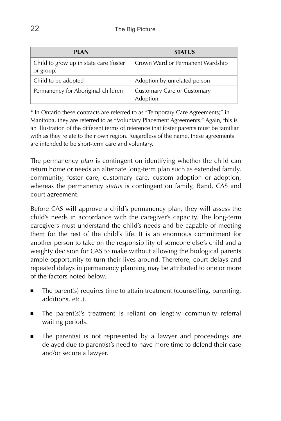| <b>PIAN</b>                                         | <b>STATUS</b>                           |
|-----------------------------------------------------|-----------------------------------------|
| Child to grow up in state care (foster<br>or group) | Crown Ward or Permanent Wardship        |
| Child to be adopted                                 | Adoption by unrelated person            |
| Permanency for Aboriginal children                  | Customary Care or Customary<br>Adoption |

\* In Ontario these contracts are referred to as "Temporary Care Agreements;" in Manitoba, they are referred to as "Voluntary Placement Agreements." Again, this is an illustration of the different terms of reference that foster parents must be familiar with as they relate to their own region. Regardless of the name, these agreements are intended to be short-term care and voluntary.

The permanency *plan* is contingent on identifying whether the child can return home or needs an alternate long-term plan such as extended family, community, foster care, customary care, custom adoption or adoption, whereas the permanency *status* is contingent on family, Band, CAS and court agreement.

Before CAS will approve a child's permanency plan, they will assess the child's needs in accordance with the caregiver's capacity. The long-term caregivers must understand the child's needs and be capable of meeting them for the rest of the child's life. It is an enormous commitment for another person to take on the responsibility of someone else's child and a weighty decision for CAS to make without allowing the biological parents ample opportunity to turn their lives around. Therefore, court delays and repeated delays in permanency planning may be attributed to one or more of the factors noted below.

- The parent(s) requires time to attain treatment (counselling, parenting, additions, etc.).
- The parent(s)'s treatment is reliant on lengthy community referral waiting periods.
- The parent(s) is not represented by a lawyer and proceedings are delayed due to parent(s)'s need to have more time to defend their case and/or secure a lawyer.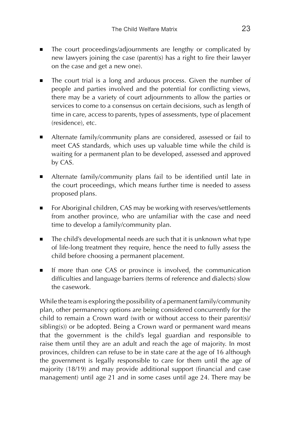- The court proceedings/adjournments are lengthy or complicated by new lawyers joining the case (parent(s) has a right to fire their lawyer on the case and get a new one).
- The court trial is a long and arduous process. Given the number of people and parties involved and the potential for conflicting views, there may be a variety of court adjournments to allow the parties or services to come to a consensus on certain decisions, such as length of time in care, access to parents, types of assessments, type of placement (residence), etc.
- Alternate family/community plans are considered, assessed or fail to meet CAS standards, which uses up valuable time while the child is waiting for a permanent plan to be developed, assessed and approved by CAS.
- Alternate family/community plans fail to be identified until late in the court proceedings, which means further time is needed to assess proposed plans.
- For Aboriginal children, CAS may be working with reserves/settlements from another province, who are unfamiliar with the case and need time to develop a family/community plan.
- The child's developmental needs are such that it is unknown what type of life-long treatment they require, hence the need to fully assess the child before choosing a permanent placement.
- If more than one CAS or province is involved, the communication difficulties and language barriers (terms of reference and dialects) slow the casework.

While the team is exploring the possibility of a permanent family/community plan, other permanency options are being considered concurrently for the child to remain a Crown ward (with or without access to their parent(s)/ sibling(s)) or be adopted. Being a Crown ward or permanent ward means that the government is the child's legal guardian and responsible to raise them until they are an adult and reach the age of majority. In most provinces, children can refuse to be in state care at the age of 16 although the government is legally responsible to care for them until the age of majority (18/19) and may provide additional support (financial and case management) until age 21 and in some cases until age 24. There may be